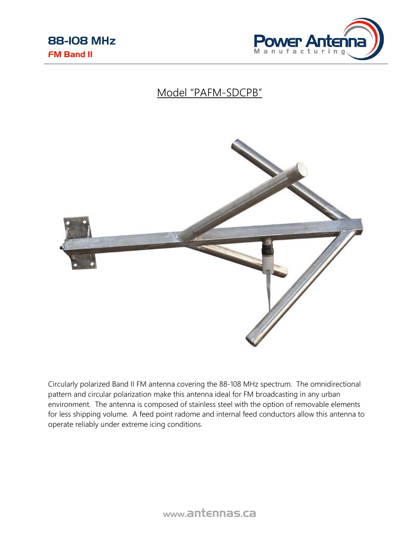

## Model "PAFM-SDCPB"



Circularly polarized Band II FM antenna covering the 88-108 MHz spectrum. The omnidirectional pattern and circular polarization make this antenna ideal for FM broadcasting in any urban environment. The antenna is composed of stainless steel with the option of removable elements for less shipping volume. A feed point radome and internal feed conductors allow this antenna to operate reliably under extreme icing conditions.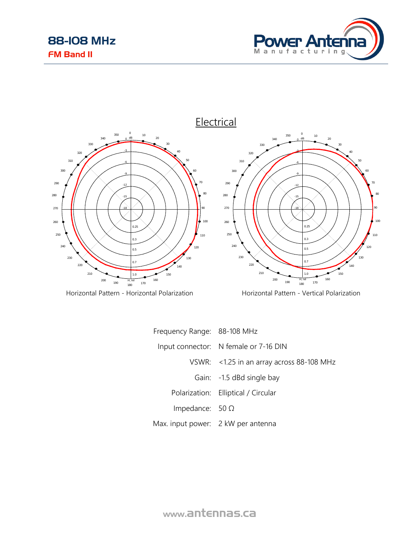



Horizontal Pattern - Horizontal Polarization **Horizontal Pattern - Vertical Polarization** 



| Frequency Range: 88-108 MHz        |                                           |
|------------------------------------|-------------------------------------------|
|                                    | Input connector: N female or 7-16 DIN     |
|                                    | VSWR: <1.25 in an array across 88-108 MHz |
|                                    | Gain: -1.5 dBd single bay                 |
|                                    | Polarization: Elliptical / Circular       |
| Impedance: $50 \Omega$             |                                           |
| Max. input power: 2 kW per antenna |                                           |

www.antennas.ca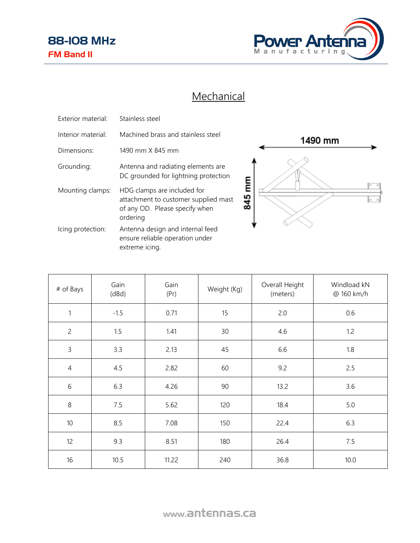

## **Mechanical**

| Exterior material: | Stainless steel                                                                                                   |        |
|--------------------|-------------------------------------------------------------------------------------------------------------------|--------|
| Interior material: | Machined brass and stainless steel                                                                                |        |
| Dimensions:        | 1490 mm X 845 mm                                                                                                  |        |
| Grounding:         | Antenna and radiating elements are<br>DC grounded for lightning protection                                        |        |
| Mounting clamps:   | HDG clamps are included for<br>attachment to customer supplied mast<br>of any OD. Please specify when<br>ordering | 845 mm |
| Icing protection:  | Antenna design and internal feed<br>ensure reliable operation under<br>extreme icing.                             |        |



| # of Bays      | Gain<br>(dBd) | Gain<br>(Pr) | Weight (Kg) | Overall Height<br>(meters) | Windload kN<br>@ 160 km/h |
|----------------|---------------|--------------|-------------|----------------------------|---------------------------|
| $\mathbf{1}$   | $-1.5$        | 0.71         | 15          | 2.0                        | 0.6                       |
| $\overline{c}$ | 1.5           | 1.41         | $30\,$      | 4.6                        | 1.2                       |
| $\overline{3}$ | 3.3           | 2.13         | 45          | 6.6                        | 1.8                       |
| $\overline{4}$ | 4.5           | 2.82         | 60          | 9.2                        | 2.5                       |
| $6\,$          | 6.3           | 4.26         | 90          | 13.2                       | 3.6                       |
| 8              | 7.5           | 5.62         | 120         | 18.4                       | 5.0                       |
| $10$           | 8.5           | 7.08         | 150         | 22.4                       | 6.3                       |
| 12             | 9.3           | 8.51         | 180         | 26.4                       | 7.5                       |
| 16             | 10.5          | 11.22        | 240         | 36.8                       | 10.0                      |